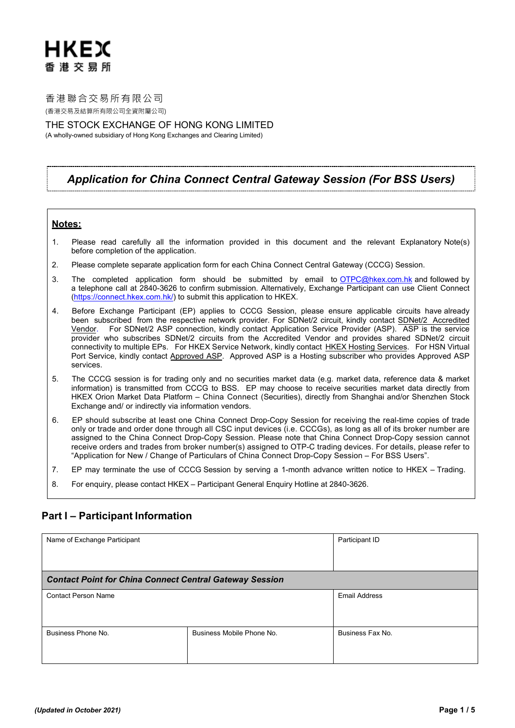香港聯合交易所有限公司 (香港交易及結算所有限公司全資附屬公司)

THE STOCK EXCHANGE OF HONG KONG LIMITED (A wholly-owned subsidiary of Hong Kong Exchanges and Clearing Limited)

# *Application for China Connect Central Gateway Session (For BSS Users)*

### **Notes:**

- 1. Please read carefully all the information provided in this document and the relevant Explanatory Note(s) before completion of the application.
- 2. Please complete separate application form for each China Connect Central Gateway (CCCG) Session.
- 3. The completed application form should be submitted by email to [OTPC@hkex.com.hk](mailto:OTPC@hkex.com.hk) and followed by a telephone call at 2840-3626 to confirm submission. Alternatively, Exchange Participant can use Client Connect ([https://connect.hkex.com.hk/\)](https://connect.hkex.com.hk/) to submit this application to HKEX.
- 4. Before Exchange Participant (EP) applies to CCCG Session, please ensure applicable circuits have already been subscribed from the respective network provider. For SDNet/2 circuit, kindly contact [SDNet/2 Accredited](http://www.hkex.com.hk/Services/Connectivity/SDNet-2/Securities-Trading-(AMS3-Shanghai-and-Shenzhen-Connect)?sc_lang=en) [Vendor.](http://www.hkex.com.hk/Services/Connectivity/SDNet-2/Securities-Trading-(AMS3-Shanghai-and-Shenzhen-Connect)?sc_lang=en) For SDNet/2 ASP connection, kindly contact Application Service Provider (ASP). ASP is the service provider who subscribes SDNet/2 circuits from the Accredited Vendor and provides shared SDNet/2 circuit connectivity to multiple EPs. For HKEX Service Network, kindly contact [HKEX Hosting Services.](http://www.hkex.com.hk/services/connectivity/hosting-services?sc_lang=en) For HSN Virtual Port Service, kindly contact Approved ASP. Approved ASP is a Hosting subscriber who provides Approved ASP services.
- 5. The CCCG session is for trading only and no securities market data (e.g. market data, reference data & market information) is transmitted from CCCG to BSS. EP may choose to receive securities market data directly from HKEX Orion Market Data Platform – China Connect (Securities), directly from Shanghai and/or Shenzhen Stock Exchange and/ or indirectly via information vendors.
- 6. EP should subscribe at least one China Connect Drop-Copy Session for receiving the real-time copies of trade only or trade and order done through all CSC input devices (i.e. CCCGs), as long as all of its broker number are assigned to the China Connect Drop-Copy Session. Please note that China Connect Drop-Copy session cannot receive orders and trades from broker number(s) assigned to OTP-C trading devices. For details, please refer to "Application for New / Change of Particulars of China Connect Drop-Copy Session – For BSS Users".
- 7. EP may terminate the use of CCCG Session by serving a 1-month advance written notice to HKEX Trading.
- 8. For enquiry, please contact HKEX Participant General Enquiry Hotline at 2840-3626.

## **Part I – Participant Information**

| Name of Exchange Participant                                   | Participant ID            |                  |  |  |  |
|----------------------------------------------------------------|---------------------------|------------------|--|--|--|
| <b>Contact Point for China Connect Central Gateway Session</b> |                           |                  |  |  |  |
| <b>Contact Person Name</b>                                     | <b>Email Address</b>      |                  |  |  |  |
| Business Phone No.                                             | Business Mobile Phone No. | Business Fax No. |  |  |  |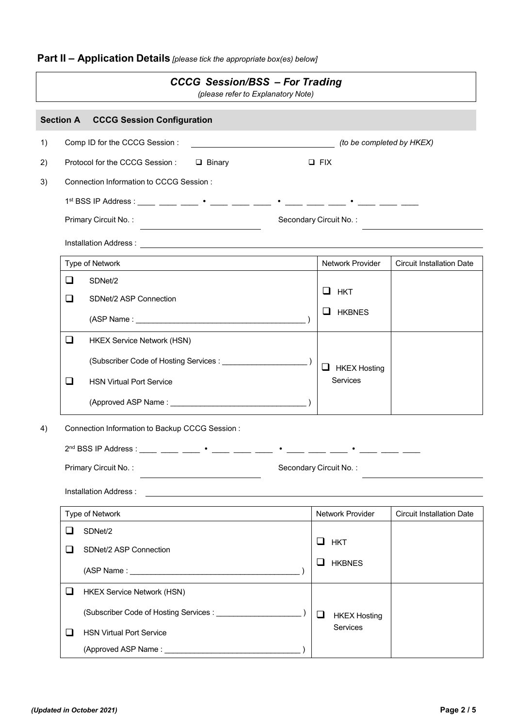**Part II – Application Details** *[please tick the appropriate box(es) below]*

| <b>CCCG Session/BSS - For Trading</b><br>(please refer to Explanatory Note) |                      |                                                                                                                                                                                                                                    |                                                                                                                       |                 |                        |                         |                                  |  |  |
|-----------------------------------------------------------------------------|----------------------|------------------------------------------------------------------------------------------------------------------------------------------------------------------------------------------------------------------------------------|-----------------------------------------------------------------------------------------------------------------------|-----------------|------------------------|-------------------------|----------------------------------|--|--|
|                                                                             |                      | <b>Section A CCCG Session Configuration</b>                                                                                                                                                                                        |                                                                                                                       |                 |                        |                         |                                  |  |  |
| 1)                                                                          |                      | Comp ID for the CCCG Session :                                                                                                                                                                                                     | (to be completed by HKEX)                                                                                             |                 |                        |                         |                                  |  |  |
| 2)                                                                          |                      | Protocol for the CCCG Session : □ Binary                                                                                                                                                                                           |                                                                                                                       |                 | $\Box$ FIX             |                         |                                  |  |  |
| 3)                                                                          |                      | Connection Information to CCCG Session :                                                                                                                                                                                           |                                                                                                                       |                 |                        |                         |                                  |  |  |
|                                                                             |                      |                                                                                                                                                                                                                                    |                                                                                                                       |                 |                        |                         |                                  |  |  |
|                                                                             |                      | Primary Circuit No.:<br>Secondary Circuit No.:                                                                                                                                                                                     |                                                                                                                       |                 |                        |                         |                                  |  |  |
|                                                                             |                      | Installation Address: <u>Communications</u> of the contract of the contract of the contract of the contract of the contract of the contract of the contract of the contract of the contract of the contract of the contract of the |                                                                                                                       |                 |                        |                         |                                  |  |  |
|                                                                             |                      | Type of Network                                                                                                                                                                                                                    |                                                                                                                       |                 |                        | <b>Network Provider</b> | <b>Circuit Installation Date</b> |  |  |
|                                                                             | ❏                    | SDNet/2                                                                                                                                                                                                                            |                                                                                                                       |                 |                        |                         |                                  |  |  |
|                                                                             | ❏                    | SDNet/2 ASP Connection                                                                                                                                                                                                             |                                                                                                                       |                 |                        | $\Box$ HKT              |                                  |  |  |
|                                                                             |                      |                                                                                                                                                                                                                                    |                                                                                                                       |                 |                        | U HKBNES                |                                  |  |  |
|                                                                             | ❏                    | <b>HKEX Service Network (HSN)</b>                                                                                                                                                                                                  |                                                                                                                       |                 |                        |                         |                                  |  |  |
|                                                                             |                      |                                                                                                                                                                                                                                    |                                                                                                                       |                 |                        | $\Box$ HKEX Hosting     |                                  |  |  |
|                                                                             | ❏                    |                                                                                                                                                                                                                                    |                                                                                                                       | <b>Services</b> |                        |                         |                                  |  |  |
|                                                                             |                      |                                                                                                                                                                                                                                    |                                                                                                                       |                 |                        |                         |                                  |  |  |
| 4)                                                                          |                      | Connection Information to Backup CCCG Session:                                                                                                                                                                                     |                                                                                                                       |                 |                        |                         |                                  |  |  |
|                                                                             |                      |                                                                                                                                                                                                                                    |                                                                                                                       |                 |                        |                         |                                  |  |  |
|                                                                             | Primary Circuit No.: |                                                                                                                                                                                                                                    |                                                                                                                       |                 | Secondary Circuit No.: |                         |                                  |  |  |
|                                                                             |                      | Installation Address :                                                                                                                                                                                                             | <u> 1989 - Johann Stoff, deutscher Stoff, der Stoff, der Stoff, der Stoff, der Stoff, der Stoff, der Stoff, der S</u> |                 |                        |                         |                                  |  |  |
|                                                                             |                      | Type of Network                                                                                                                                                                                                                    |                                                                                                                       |                 |                        | Network Provider        | <b>Circuit Installation Date</b> |  |  |
|                                                                             | ப                    | SDNet/2                                                                                                                                                                                                                            |                                                                                                                       |                 |                        |                         |                                  |  |  |
|                                                                             | ப                    | SDNet/2 ASP Connection                                                                                                                                                                                                             |                                                                                                                       |                 |                        | $\Box$ HKT              |                                  |  |  |
|                                                                             |                      |                                                                                                                                                                                                                                    |                                                                                                                       |                 |                        | $\Box$ HKBNES           |                                  |  |  |
|                                                                             | ❏                    | <b>HKEX Service Network (HSN)</b>                                                                                                                                                                                                  |                                                                                                                       |                 |                        |                         |                                  |  |  |
|                                                                             |                      |                                                                                                                                                                                                                                    |                                                                                                                       |                 | $\Box$                 | <b>HKEX Hosting</b>     |                                  |  |  |
|                                                                             | ⊔                    | <b>HSN Virtual Port Service</b>                                                                                                                                                                                                    |                                                                                                                       |                 |                        | Services                |                                  |  |  |
|                                                                             |                      |                                                                                                                                                                                                                                    |                                                                                                                       |                 |                        |                         |                                  |  |  |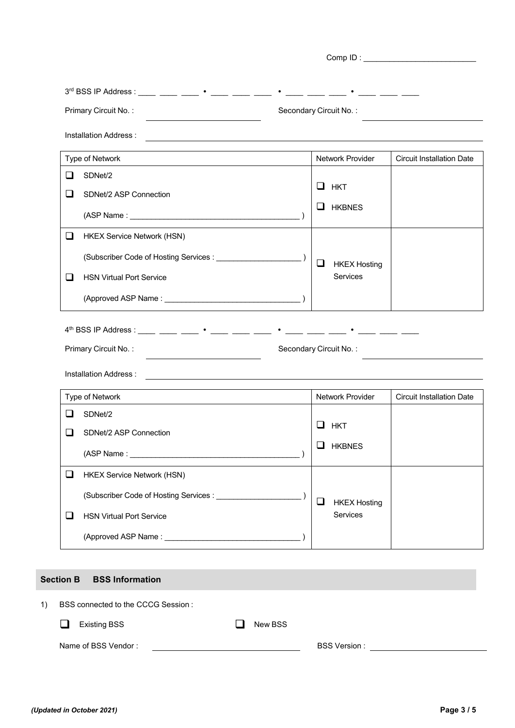| Primary Circuit No.:                                                                                                                            | Secondary Circuit No.: |                               |                                  |  |  |
|-------------------------------------------------------------------------------------------------------------------------------------------------|------------------------|-------------------------------|----------------------------------|--|--|
| Installation Address:                                                                                                                           |                        |                               |                                  |  |  |
| Type of Network                                                                                                                                 |                        | Network Provider              | <b>Circuit Installation Date</b> |  |  |
| □<br>SDNet/2                                                                                                                                    |                        |                               |                                  |  |  |
| □<br>SDNet/2 ASP Connection                                                                                                                     |                        | $\Box$ HKT                    |                                  |  |  |
|                                                                                                                                                 |                        | $\Box$ HKBNES                 |                                  |  |  |
| <b>HKEX Service Network (HSN)</b><br>$\Box$                                                                                                     |                        |                               |                                  |  |  |
|                                                                                                                                                 |                        | ❏<br><b>HKEX Hosting</b>      |                                  |  |  |
| <b>HSN Virtual Port Service</b><br>ப                                                                                                            |                        | <b>Services</b>               |                                  |  |  |
|                                                                                                                                                 |                        |                               |                                  |  |  |
| Installation Address :<br><u> 1989 - Johann Stoff, deutscher Stoff, der Stoff, der Stoff, der Stoff, der Stoff, der Stoff, der Stoff, der S</u> |                        |                               |                                  |  |  |
| Type of Network                                                                                                                                 |                        | Network Provider              | <b>Circuit Installation Date</b> |  |  |
| SDNet/2<br>$\Box$                                                                                                                               |                        | <b>HKT</b>                    |                                  |  |  |
| ⊓<br>SDNet/2 ASP Connection                                                                                                                     |                        | ⊔<br><b>HKBNES</b>            |                                  |  |  |
|                                                                                                                                                 |                        |                               |                                  |  |  |
| $\Box$<br><b>HKEX Service Network (HSN)</b>                                                                                                     |                        |                               |                                  |  |  |
|                                                                                                                                                 |                        | $\Box$<br><b>HKEX Hosting</b> |                                  |  |  |
| ❏<br><b>HSN Virtual Port Service</b>                                                                                                            |                        | Services                      |                                  |  |  |
|                                                                                                                                                 |                        |                               |                                  |  |  |
|                                                                                                                                                 |                        |                               |                                  |  |  |
| <b>BSS Information</b><br><b>Section B</b>                                                                                                      |                        |                               |                                  |  |  |
| BSS connected to the CCCG Session:                                                                                                              |                        |                               |                                  |  |  |
|                                                                                                                                                 |                        |                               |                                  |  |  |
| <b>Existing BSS</b>                                                                                                                             | New BSS                |                               |                                  |  |  |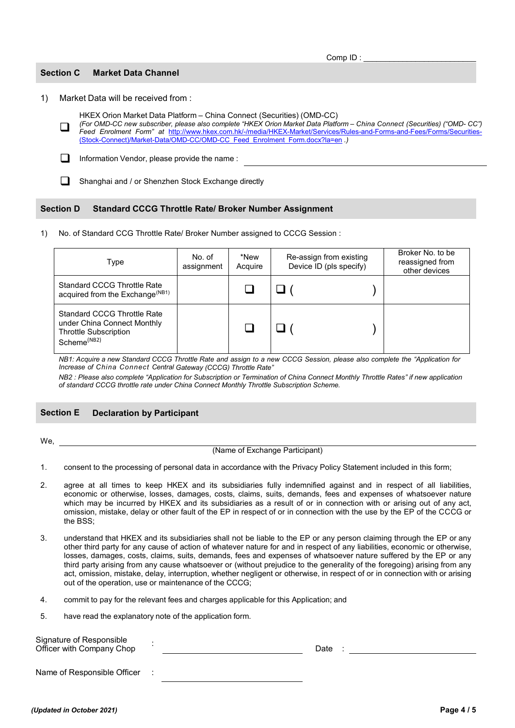### **Section C Market Data Channel**

1) Market Data will be received from :

HKEX Orion Market Data Platform – China Connect (Securities) (OMD-CC)

 $\Box$ *(For OMD-CC new subscriber, please also complete "HKEX Orion Market Data Platform – China Connect (Securities) ("OMD- CC") Feed Enrolment Form" at* [http://www.hkex.com.hk/-/media/HKEX-Market/Services/Rules-and-Forms-and-Fees/Forms/Securities-](http://www.hkex.com.hk/-/media/HKEX-Market/Services/Rules-and-Forms-and-Fees/Forms/Securities-(Stock-Connect)/Market-Data/OMD-CC/OMD-CC_Feed_Enrolment_Form.docx?la=en) [\(Stock-Connect\)/Market-Data/OMD-CC/OMD-CC\\_Feed\\_Enrolment\\_Form.docx?la=en](http://www.hkex.com.hk/-/media/HKEX-Market/Services/Rules-and-Forms-and-Fees/Forms/Securities-(Stock-Connect)/Market-Data/OMD-CC/OMD-CC_Feed_Enrolment_Form.docx?la=en) *.)*

Information Vendor, please provide the name :

Shanghai and / or Shenzhen Stock Exchange directly

### **Section D Standard CCCG Throttle Rate/ Broker Number Assignment**

1) No. of Standard CCG Throttle Rate/ Broker Number assigned to CCCG Session :

| Type                                                                                                                         | No. of<br>assignment | *New<br>Acquire | Re-assign from existing<br>Device ID (pls specify) | Broker No. to be<br>reassigned from<br>other devices |
|------------------------------------------------------------------------------------------------------------------------------|----------------------|-----------------|----------------------------------------------------|------------------------------------------------------|
| <b>Standard CCCG Throttle Rate</b><br>acquired from the Exchange <sup>(NB1)</sup>                                            |                      |                 |                                                    |                                                      |
| <b>Standard CCCG Throttle Rate</b><br>under China Connect Monthly<br><b>Throttle Subscription</b><br>Scheme <sup>(NB2)</sup> |                      |                 |                                                    |                                                      |

*NB1: Acquire a new Standard CCCG Throttle Rate and assign to a new CCCG Session, please also complete the "Application for Increase of China Connect Central Gateway (CCCG) Throttle Rate"* 

*NB2 : Please also complete "Application for Subscription or Termination of China Connect Monthly Throttle Rates" if new application of standard CCCG throttle rate under China Connect Monthly Throttle Subscription Scheme.*

## **Section E Declaration by Participant**

We,

(Name of Exchange Participant)

1. consent to the processing of personal data in accordance with the Privacy Policy Statement included in this form;

- 2. agree at all times to keep HKEX and its subsidiaries fully indemnified against and in respect of all liabilities, economic or otherwise, losses, damages, costs, claims, suits, demands, fees and expenses of whatsoever nature which may be incurred by HKEX and its subsidiaries as a result of or in connection with or arising out of any act, omission, mistake, delay or other fault of the EP in respect of or in connection with the use by the EP of the CCCG or the BSS;
- 3. understand that HKEX and its subsidiaries shall not be liable to the EP or any person claiming through the EP or any other third party for any cause of action of whatever nature for and in respect of any liabilities, economic or otherwise, losses, damages, costs, claims, suits, demands, fees and expenses of whatsoever nature suffered by the EP or any third party arising from any cause whatsoever or (without prejudice to the generality of the foregoing) arising from any act, omission, mistake, delay, interruption, whether negligent or otherwise, in respect of or in connection with or arising out of the operation, use or maintenance of the CCCG;
- 4. commit to pay for the relevant fees and charges applicable for this Application; and
- 5. have read the explanatory note of the application form.

<span id="page-3-0"></span>

| Signature of Responsible<br>Officer with Company Chop |  |  |  |  |  |
|-------------------------------------------------------|--|--|--|--|--|
| Name of Responsible Officer                           |  |  |  |  |  |

Comp ID :